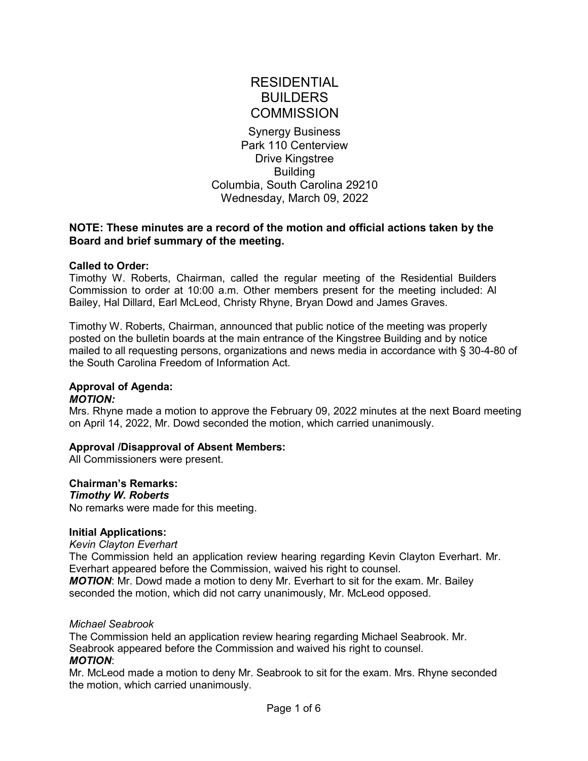# RESIDENTIAL BUILDERS **COMMISSION**

Synergy Business Park 110 Centerview Drive Kingstree **Building** Columbia, South Carolina 29210 Wednesday, March 09, 2022

## **NOTE: These minutes are a record of the motion and official actions taken by the Board and brief summary of the meeting.**

#### **Called to Order:**

Timothy W. Roberts, Chairman, called the regular meeting of the Residential Builders Commission to order at 10:00 a.m. Other members present for the meeting included: Al Bailey, Hal Dillard, Earl McLeod, Christy Rhyne, Bryan Dowd and James Graves.

Timothy W. Roberts, Chairman, announced that public notice of the meeting was properly posted on the bulletin boards at the main entrance of the Kingstree Building and by notice mailed to all requesting persons, organizations and news media in accordance with § 30-4-80 of the South Carolina Freedom of Information Act.

## **Approval of Agenda:**

#### *MOTION:*

Mrs. Rhyne made a motion to approve the February 09, 2022 minutes at the next Board meeting on April 14, 2022, Mr. Dowd seconded the motion, which carried unanimously.

## **Approval /Disapproval of Absent Members:**

All Commissioners were present.

## **Chairman's Remarks:**

#### *Timothy W. Roberts*

No remarks were made for this meeting.

#### **Initial Applications:**

*Kevin Clayton Everhart*

The Commission held an application review hearing regarding Kevin Clayton Everhart. Mr. Everhart appeared before the Commission, waived his right to counsel.

*MOTION*: Mr. Dowd made a motion to deny Mr. Everhart to sit for the exam. Mr. Bailey seconded the motion, which did not carry unanimously, Mr. McLeod opposed.

#### *Michael Seabrook*

The Commission held an application review hearing regarding Michael Seabrook. Mr. Seabrook appeared before the Commission and waived his right to counsel. *MOTION*:

Mr. McLeod made a motion to deny Mr. Seabrook to sit for the exam. Mrs. Rhyne seconded the motion, which carried unanimously.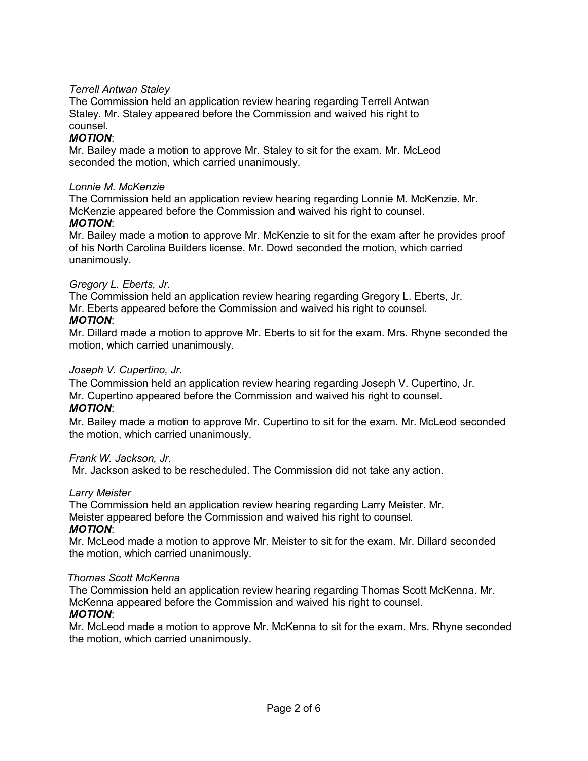## *Terrell Antwan Staley*

The Commission held an application review hearing regarding Terrell Antwan Staley. Mr. Staley appeared before the Commission and waived his right to counsel.

## *MOTION*:

Mr. Bailey made a motion to approve Mr. Staley to sit for the exam. Mr. McLeod seconded the motion, which carried unanimously.

## *Lonnie M. McKenzie*

The Commission held an application review hearing regarding Lonnie M. McKenzie. Mr. McKenzie appeared before the Commission and waived his right to counsel. *MOTION*:

Mr. Bailey made a motion to approve Mr. McKenzie to sit for the exam after he provides proof of his North Carolina Builders license. Mr. Dowd seconded the motion, which carried unanimously.

## *Gregory L. Eberts, Jr.*

The Commission held an application review hearing regarding Gregory L. Eberts, Jr. Mr. Eberts appeared before the Commission and waived his right to counsel. *MOTION*:

Mr. Dillard made a motion to approve Mr. Eberts to sit for the exam. Mrs. Rhyne seconded the motion, which carried unanimously.

#### *Joseph V. Cupertino, Jr.*

The Commission held an application review hearing regarding Joseph V. Cupertino, Jr. Mr. Cupertino appeared before the Commission and waived his right to counsel.

## *MOTION*:

Mr. Bailey made a motion to approve Mr. Cupertino to sit for the exam. Mr. McLeod seconded the motion, which carried unanimously.

#### *Frank W. Jackson, Jr.*

Mr. Jackson asked to be rescheduled. The Commission did not take any action.

## *Larry Meister*

The Commission held an application review hearing regarding Larry Meister. Mr. Meister appeared before the Commission and waived his right to counsel. *MOTION*:

Mr. McLeod made a motion to approve Mr. Meister to sit for the exam. Mr. Dillard seconded the motion, which carried unanimously.

#### *Thomas Scott McKenna*

The Commission held an application review hearing regarding Thomas Scott McKenna. Mr. McKenna appeared before the Commission and waived his right to counsel.

## *MOTION*:

Mr. McLeod made a motion to approve Mr. McKenna to sit for the exam. Mrs. Rhyne seconded the motion, which carried unanimously.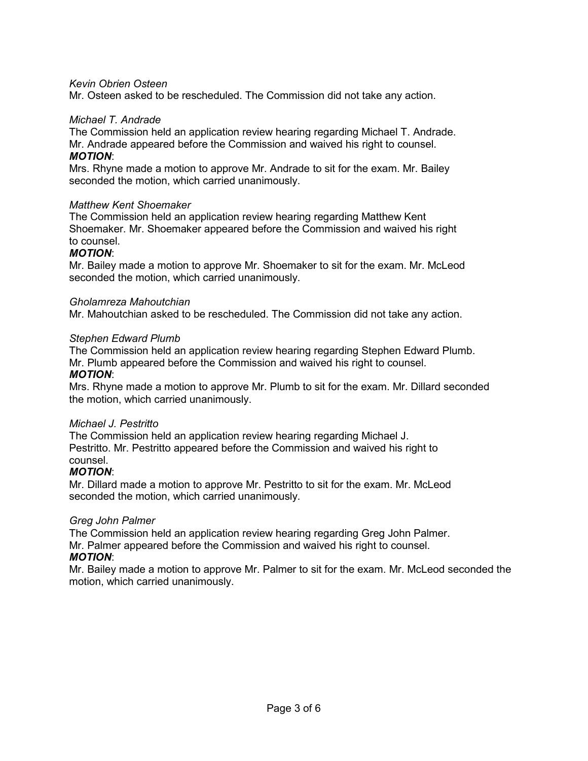## *Kevin Obrien Osteen*

Mr. Osteen asked to be rescheduled. The Commission did not take any action.

#### *Michael T. Andrade*

The Commission held an application review hearing regarding Michael T. Andrade. Mr. Andrade appeared before the Commission and waived his right to counsel. *MOTION*:

Mrs. Rhyne made a motion to approve Mr. Andrade to sit for the exam. Mr. Bailey seconded the motion, which carried unanimously.

#### *Matthew Kent Shoemaker*

The Commission held an application review hearing regarding Matthew Kent Shoemaker. Mr. Shoemaker appeared before the Commission and waived his right to counsel.

## *MOTION*:

Mr. Bailey made a motion to approve Mr. Shoemaker to sit for the exam. Mr. McLeod seconded the motion, which carried unanimously.

#### *Gholamreza Mahoutchian*

Mr. Mahoutchian asked to be rescheduled. The Commission did not take any action.

#### *Stephen Edward Plumb*

The Commission held an application review hearing regarding Stephen Edward Plumb. Mr. Plumb appeared before the Commission and waived his right to counsel. *MOTION*:

Mrs. Rhyne made a motion to approve Mr. Plumb to sit for the exam. Mr. Dillard seconded the motion, which carried unanimously.

## *Michael J. Pestritto*

The Commission held an application review hearing regarding Michael J. Pestritto. Mr. Pestritto appeared before the Commission and waived his right to counsel.

## *MOTION*:

Mr. Dillard made a motion to approve Mr. Pestritto to sit for the exam. Mr. McLeod seconded the motion, which carried unanimously.

#### *Greg John Palmer*

The Commission held an application review hearing regarding Greg John Palmer. Mr. Palmer appeared before the Commission and waived his right to counsel. *MOTION*:

Mr. Bailey made a motion to approve Mr. Palmer to sit for the exam. Mr. McLeod seconded the motion, which carried unanimously.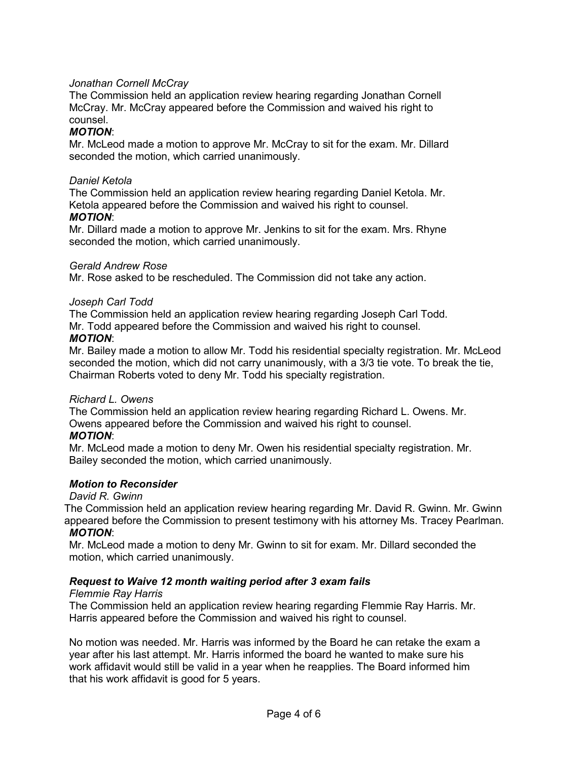## *Jonathan Cornell McCray*

The Commission held an application review hearing regarding Jonathan Cornell McCray. Mr. McCray appeared before the Commission and waived his right to counsel.

## *MOTION*:

Mr. McLeod made a motion to approve Mr. McCray to sit for the exam. Mr. Dillard seconded the motion, which carried unanimously.

## *Daniel Ketola*

The Commission held an application review hearing regarding Daniel Ketola. Mr. Ketola appeared before the Commission and waived his right to counsel. *MOTION*:

Mr. Dillard made a motion to approve Mr. Jenkins to sit for the exam. Mrs. Rhyne seconded the motion, which carried unanimously.

#### *Gerald Andrew Rose*

Mr. Rose asked to be rescheduled. The Commission did not take any action.

#### *Joseph Carl Todd*

The Commission held an application review hearing regarding Joseph Carl Todd. Mr. Todd appeared before the Commission and waived his right to counsel.

#### *MOTION*:

Mr. Bailey made a motion to allow Mr. Todd his residential specialty registration. Mr. McLeod seconded the motion, which did not carry unanimously, with a 3/3 tie vote. To break the tie, Chairman Roberts voted to deny Mr. Todd his specialty registration.

## *Richard L. Owens*

The Commission held an application review hearing regarding Richard L. Owens. Mr. Owens appeared before the Commission and waived his right to counsel. *MOTION*:

Mr. McLeod made a motion to deny Mr. Owen his residential specialty registration. Mr. Bailey seconded the motion, which carried unanimously.

## *Motion to Reconsider*

#### *David R. Gwinn*

The Commission held an application review hearing regarding Mr. David R. Gwinn. Mr. Gwinn appeared before the Commission to present testimony with his attorney Ms. Tracey Pearlman. *MOTION*:

Mr. McLeod made a motion to deny Mr. Gwinn to sit for exam. Mr. Dillard seconded the motion, which carried unanimously.

## *Request to Waive 12 month waiting period after 3 exam fails*

#### *Flemmie Ray Harris*

The Commission held an application review hearing regarding Flemmie Ray Harris. Mr. Harris appeared before the Commission and waived his right to counsel.

No motion was needed. Mr. Harris was informed by the Board he can retake the exam a year after his last attempt. Mr. Harris informed the board he wanted to make sure his work affidavit would still be valid in a year when he reapplies. The Board informed him that his work affidavit is good for 5 years.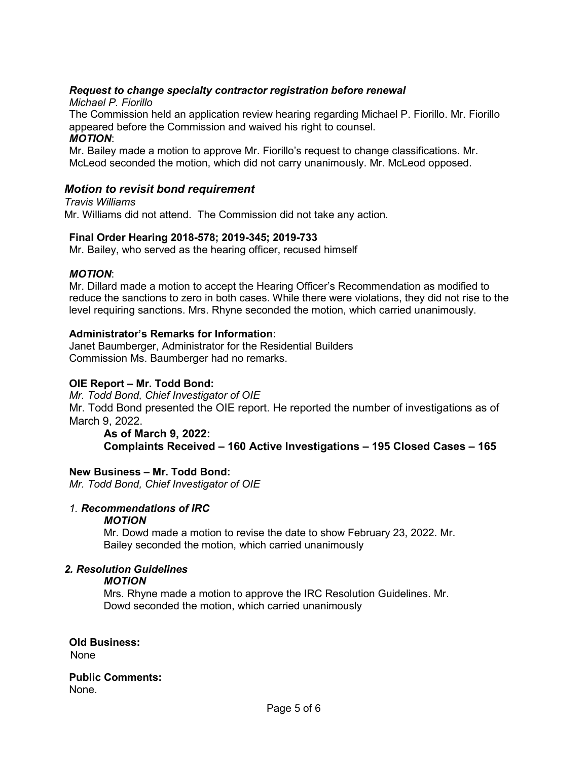## *Request to change specialty contractor registration before renewal*

*Michael P. Fiorillo*

The Commission held an application review hearing regarding Michael P. Fiorillo. Mr. Fiorillo appeared before the Commission and waived his right to counsel.

## *MOTION*:

Mr. Bailey made a motion to approve Mr. Fiorillo's request to change classifications. Mr. McLeod seconded the motion, which did not carry unanimously. Mr. McLeod opposed.

# *Motion to revisit bond requirement*

*Travis Williams* Mr. Williams did not attend. The Commission did not take any action.

## **Final Order Hearing 2018-578; 2019-345; 2019-733**

Mr. Bailey, who served as the hearing officer, recused himself

## *MOTION*:

Mr. Dillard made a motion to accept the Hearing Officer's Recommendation as modified to reduce the sanctions to zero in both cases. While there were violations, they did not rise to the level requiring sanctions. Mrs. Rhyne seconded the motion, which carried unanimously.

## **Administrator's Remarks for Information:**

Janet Baumberger, Administrator for the Residential Builders Commission Ms. Baumberger had no remarks.

## **OIE Report – Mr. Todd Bond:**

*Mr. Todd Bond, Chief Investigator of OIE* Mr. Todd Bond presented the OIE report. He reported the number of investigations as of March 9, 2022.

**As of March 9, 2022: Complaints Received – 160 Active Investigations – 195 Closed Cases – 165**

## **New Business – Mr. Todd Bond:**

*Mr. Todd Bond, Chief Investigator of OIE*

## *1. Recommendations of IRC*

## *MOTION*

Mr. Dowd made a motion to revise the date to show February 23, 2022. Mr. Bailey seconded the motion, which carried unanimously

## *2. Resolution Guidelines*

## *MOTION*

Mrs. Rhyne made a motion to approve the IRC Resolution Guidelines. Mr. Dowd seconded the motion, which carried unanimously

**Old Business:** None

**Public Comments:** None.